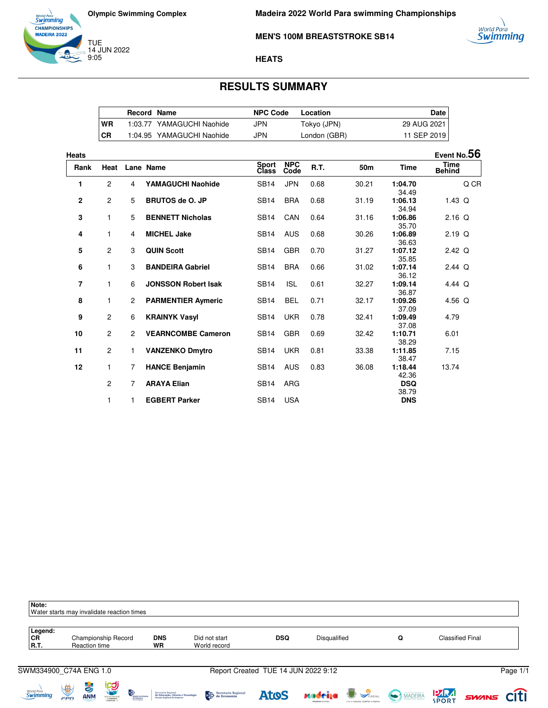



### **MEN'S 100M BREASTSTROKE SB14**

### **HEATS**

# **RESULTS SUMMARY**

|           | <b>Record Name</b> |                           | <b>NPC Code</b> | Location     | Date        |
|-----------|--------------------|---------------------------|-----------------|--------------|-------------|
| WR        |                    | 1:03.77 YAMAGUCHI Naohide | JPN             | Tokyo (JPN)  | 29 AUG 2021 |
| <b>CR</b> |                    | 1:04.95 YAMAGUCHI Naohide | JPN             | London (GBR) | 11 SEP 2019 |

| Heats          |                |                       |                            |                              |                    |             |       |                     | Event No.56    |
|----------------|----------------|-----------------------|----------------------------|------------------------------|--------------------|-------------|-------|---------------------|----------------|
| Rank           | Heat           |                       | Lane Name                  | <b>Sport</b><br><b>Class</b> | <b>NPC</b><br>Code | <b>R.T.</b> | 50m   | <b>Time</b>         | Time<br>Behind |
| 1              | 2              | 4                     | <b>YAMAGUCHI Naohide</b>   | <b>SB14</b>                  | <b>JPN</b>         | 0.68        | 30.21 | 1:04.70<br>34.49    | Q CR           |
| $\overline{2}$ | 2              | 5                     | <b>BRUTOS de O. JP</b>     | <b>SB14</b>                  | <b>BRA</b>         | 0.68        | 31.19 | 1:06.13<br>34.94    | $1.43$ Q       |
| 3              | 1              | 5                     | <b>BENNETT Nicholas</b>    | <b>SB14</b>                  | CAN                | 0.64        | 31.16 | 1:06.86<br>35.70    | $2.16$ Q       |
| 4              | 1              | 4                     | <b>MICHEL Jake</b>         | <b>SB14</b>                  | <b>AUS</b>         | 0.68        | 30.26 | 1:06.89<br>36.63    | $2.19$ Q       |
| 5              | $\mathbf{2}$   | 3                     | <b>QUIN Scott</b>          | <b>SB14</b>                  | <b>GBR</b>         | 0.70        | 31.27 | 1:07.12<br>35.85    | 2.42 Q         |
| 6              | 1              | 3                     | <b>BANDEIRA Gabriel</b>    | <b>SB14</b>                  | <b>BRA</b>         | 0.66        | 31.02 | 1:07.14<br>36.12    | $2.44$ Q       |
| 7              | 1              | 6                     | <b>JONSSON Robert Isak</b> | <b>SB14</b>                  | <b>ISL</b>         | 0.61        | 32.27 | 1:09.14<br>36.87    | 4.44 $Q$       |
| 8              | $\mathbf{1}$   | $\mathbf{2}^{\prime}$ | <b>PARMENTIER Aymeric</b>  | <b>SB14</b>                  | <b>BEL</b>         | 0.71        | 32.17 | 1:09.26<br>37.09    | 4.56 $Q$       |
| 9              | 2              | 6                     | <b>KRAINYK Vasyl</b>       | SB <sub>14</sub>             | <b>UKR</b>         | 0.78        | 32.41 | 1:09.49<br>37.08    | 4.79           |
| 10             | 2              | $\mathbf{2}$          | <b>VEARNCOMBE Cameron</b>  | <b>SB14</b>                  | <b>GBR</b>         | 0.69        | 32.42 | 1:10.71<br>38.29    | 6.01           |
| 11             | 2              | 1                     | <b>VANZENKO Dmytro</b>     | <b>SB14</b>                  | <b>UKR</b>         | 0.81        | 33.38 | 1:11.85<br>38.47    | 7.15           |
| 12             | 1              | 7                     | <b>HANCE Benjamin</b>      | <b>SB14</b>                  | <b>AUS</b>         | 0.83        | 36.08 | 1:18.44<br>42.36    | 13.74          |
|                | $\overline{2}$ | $\overline{7}$        | <b>ARAYA Elian</b>         | <b>SB14</b>                  | ARG                |             |       | <b>DSQ</b><br>38.79 |                |
|                | 1              | 1                     | <b>EGBERT Parker</b>       | <b>SB14</b>                  | <b>USA</b>         |             |       | <b>DNS</b>          |                |